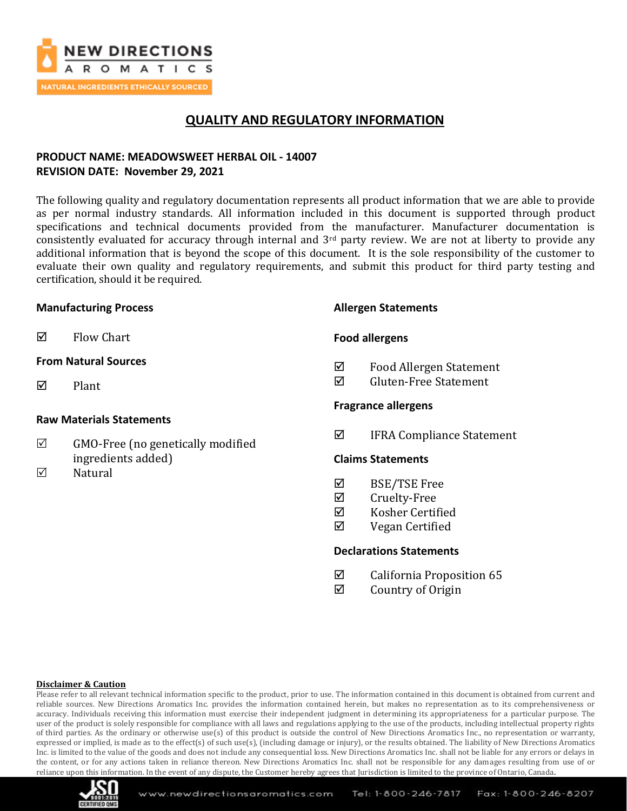

## **QUALITY AND REGULATORY INFORMATION**

## **PRODUCT NAME: MEADOWSWEET HERBAL OIL - 14007 REVISION DATE: November 29, 2021**

The following quality and regulatory documentation represents all product information that we are able to provide as per normal industry standards. All information included in this document is supported through product specifications and technical documents provided from the manufacturer. Manufacturer documentation is consistently evaluated for accuracy through internal and  $3<sup>rd</sup>$  party review. We are not at liberty to provide any additional information that is beyond the scope of this document. It is the sole responsibility of the customer to evaluate their own quality and regulatory requirements, and submit this product for third party testing and certification, should it be required.

### **Manufacturing Process**

 $\boxtimes$  Flow Chart

### **From Natural Sources**

 $\nabla$  Plant

### **Raw Materials Statements**

- $\boxtimes$  GMO-Free (no genetically modified ingredients added)
- $\nabla$  Natural

### **Allergen Statements**

### **Food allergens**

- Food Allergen Statement
- $\overline{M}$  Gluten-Free Statement

### **Fragrance allergens**

IFRA Compliance Statement

#### **Claims Statements**

- $\boxtimes$  BSE/TSE Free
- **Ø** Cruelty-Free
- Kosher Certified
- $\boxtimes$  Vegan Certified

### **Declarations Statements**

- $\boxtimes$  California Proposition 65
- $\boxtimes$  Country of Origin

#### **Disclaimer & Caution**

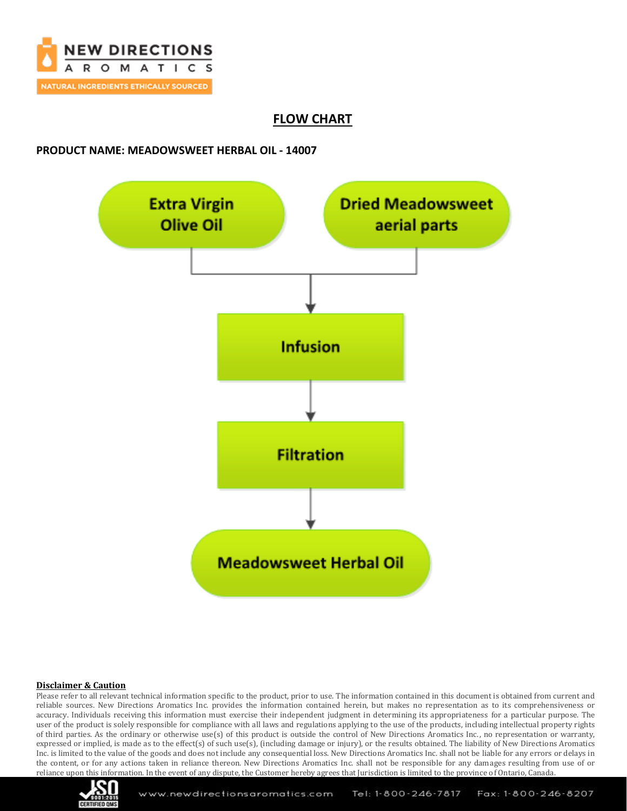

## **FLOW CHART**

## **PRODUCT NAME: MEADOWSWEET HERBAL OIL - 14007**



#### **Disclaimer & Caution**

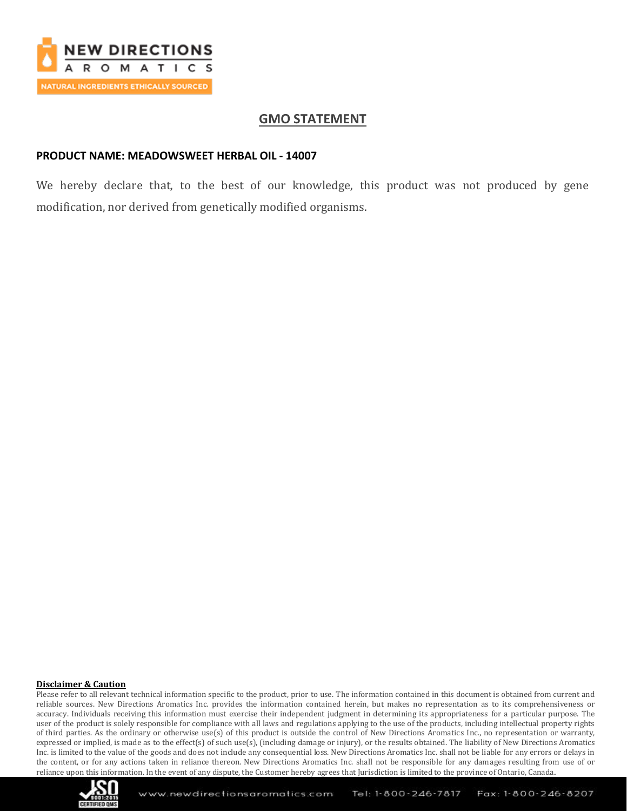

## **GMO STATEMENT**

### **PRODUCT NAME: MEADOWSWEET HERBAL OIL - 14007**

We hereby declare that, to the best of our knowledge, this product was not produced by gene modification, nor derived from genetically modified organisms.

#### **Disclaimer & Caution**

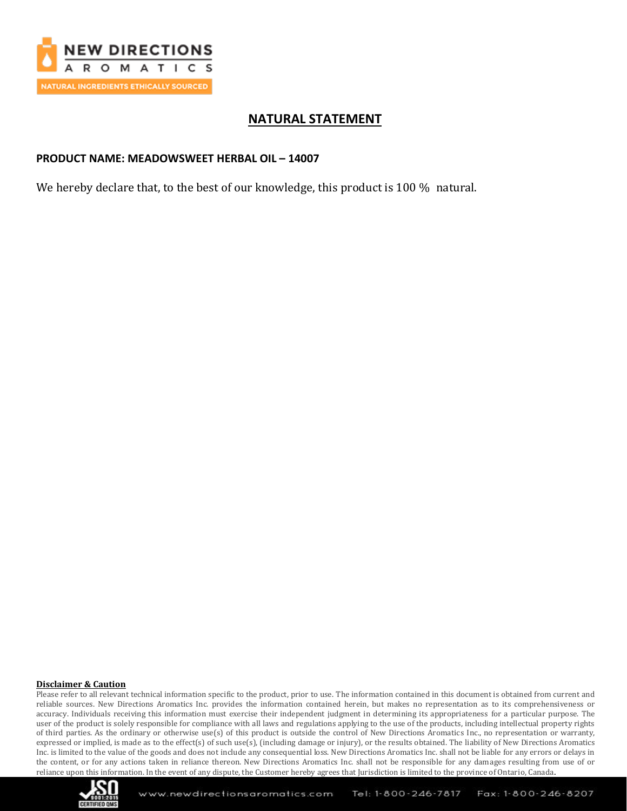

## **NATURAL STATEMENT**

## **PRODUCT NAME: MEADOWSWEET HERBAL OIL – 14007**

We hereby declare that, to the best of our knowledge, this product is 100 % natural.

#### **Disclaimer & Caution**

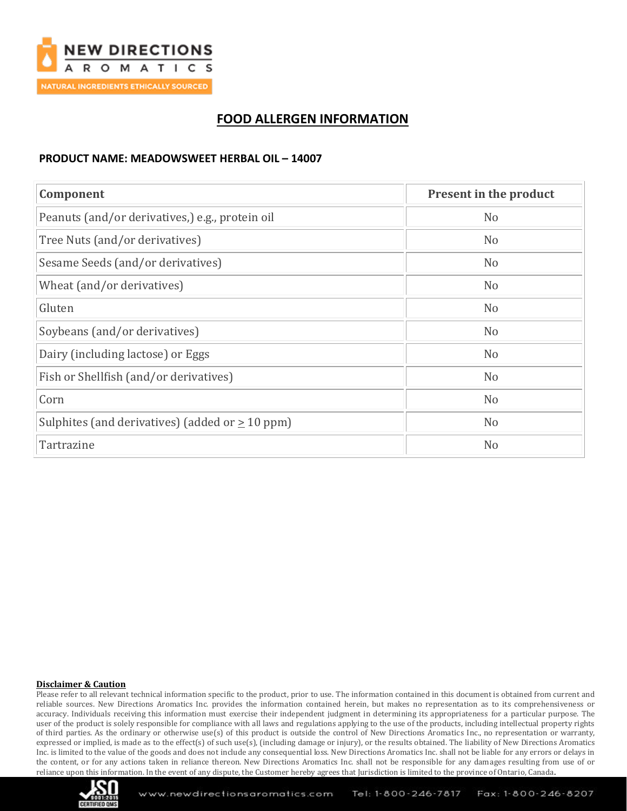

## **FOOD ALLERGEN INFORMATION**

## **PRODUCT NAME: MEADOWSWEET HERBAL OIL – 14007**

| Component                                            | <b>Present in the product</b> |
|------------------------------------------------------|-------------------------------|
| Peanuts (and/or derivatives,) e.g., protein oil      | N <sub>o</sub>                |
| Tree Nuts (and/or derivatives)                       | N <sub>o</sub>                |
| Sesame Seeds (and/or derivatives)                    | N <sub>o</sub>                |
| Wheat (and/or derivatives)                           | N <sub>o</sub>                |
| Gluten                                               | N <sub>o</sub>                |
| Soybeans (and/or derivatives)                        | N <sub>o</sub>                |
| Dairy (including lactose) or Eggs                    | N <sub>o</sub>                |
| Fish or Shellfish (and/or derivatives)               | N <sub>o</sub>                |
| Corn                                                 | N <sub>o</sub>                |
| Sulphites (and derivatives) (added or $\geq 10$ ppm) | N <sub>o</sub>                |
| Tartrazine                                           | N <sub>o</sub>                |

#### **Disclaimer & Caution**

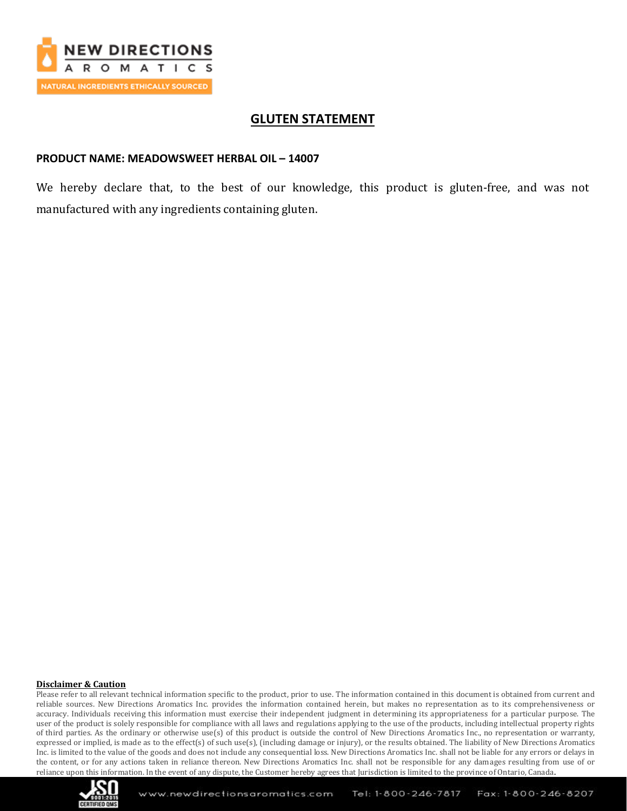

## **GLUTEN STATEMENT**

## **PRODUCT NAME: MEADOWSWEET HERBAL OIL – 14007**

We hereby declare that, to the best of our knowledge, this product is gluten-free, and was not manufactured with any ingredients containing gluten.

#### **Disclaimer & Caution**

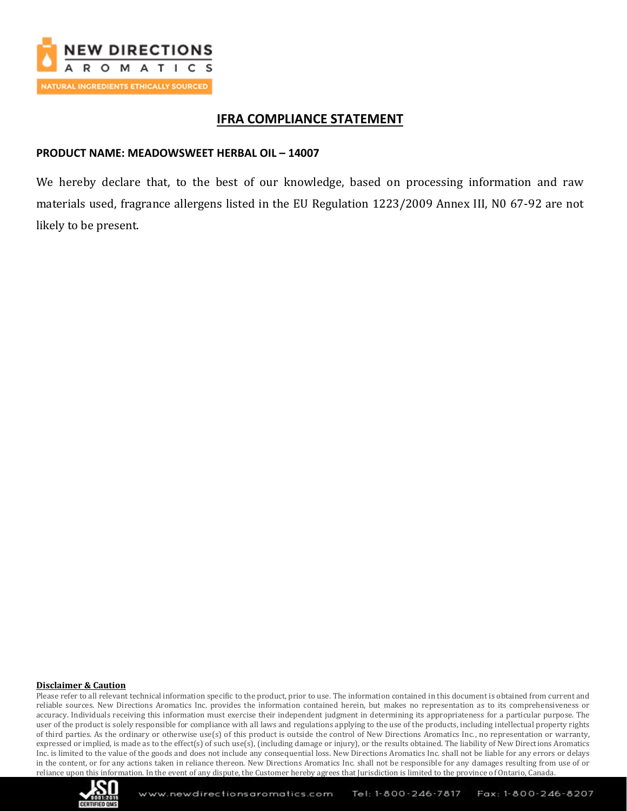

## **IFRA COMPLIANCE STATEMENT**

### **PRODUCT NAME: MEADOWSWEET HERBAL OIL - 14007**

We hereby declare that, to the best of our knowledge, based on processing information and raw materials used, fragrance allergens listed in the EU Regulation 1223/2009 Annex III, N0 67-92 are not likely to be present.

#### **Disclaimer & Caution**

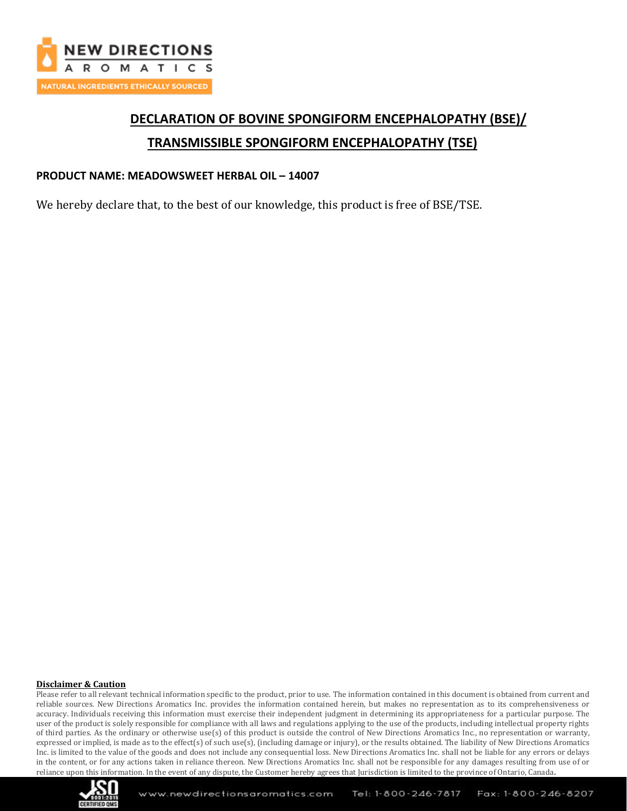

# **DECLARATION OF BOVINE SPONGIFORM ENCEPHALOPATHY (BSE)/ TRANSMISSIBLE SPONGIFORM ENCEPHALOPATHY (TSE)**

### **PRODUCT NAME: MEADOWSWEET HERBAL OIL – 14007**

We hereby declare that, to the best of our knowledge, this product is free of BSE/TSE.

#### **Disclaimer & Caution**

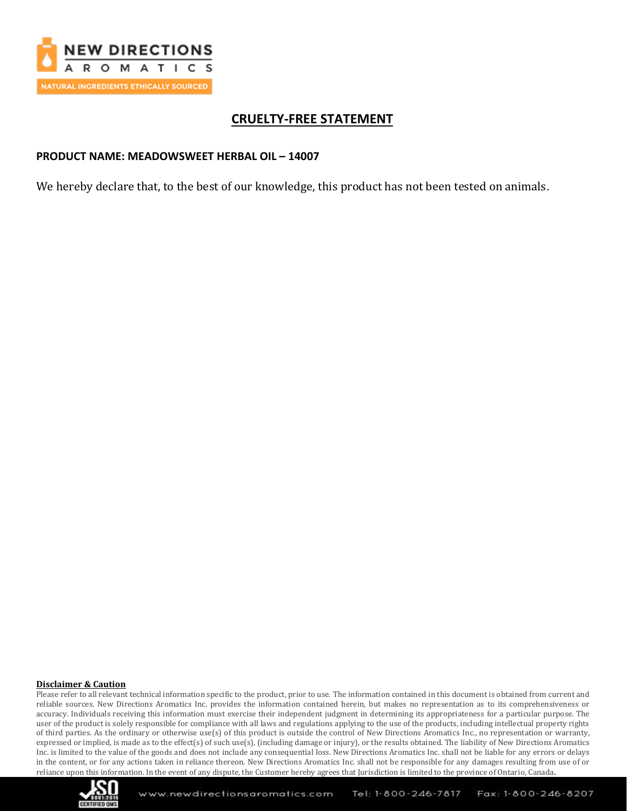

## **CRUELTY-FREE STATEMENT**

### **PRODUCT NAME: MEADOWSWEET HERBAL OIL – 14007**

We hereby declare that, to the best of our knowledge, this product has not been tested on animals.

#### **Disclaimer & Caution**

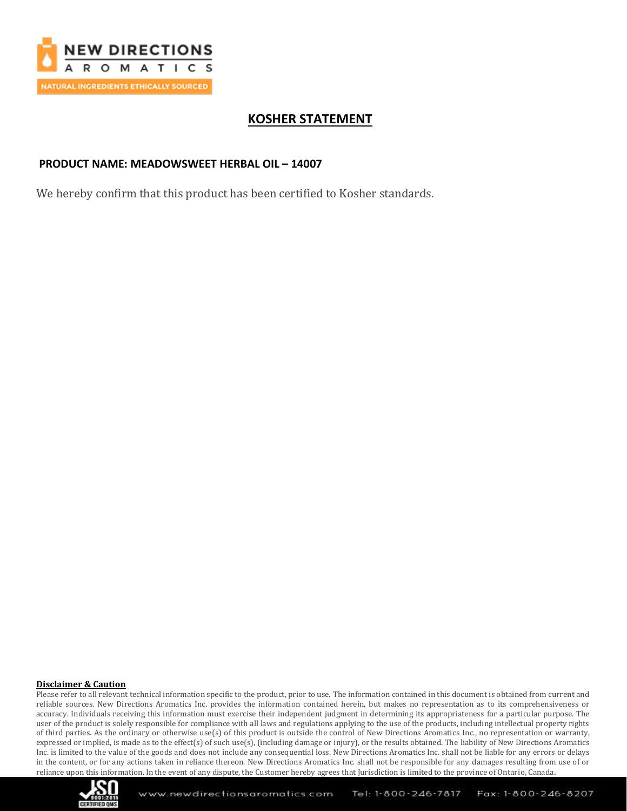

## **KOSHER STATEMENT**

### **PRODUCT NAME: MEADOWSWEET HERBAL OIL – 14007**

We hereby confirm that this product has been certified to Kosher standards.

#### **Disclaimer & Caution**

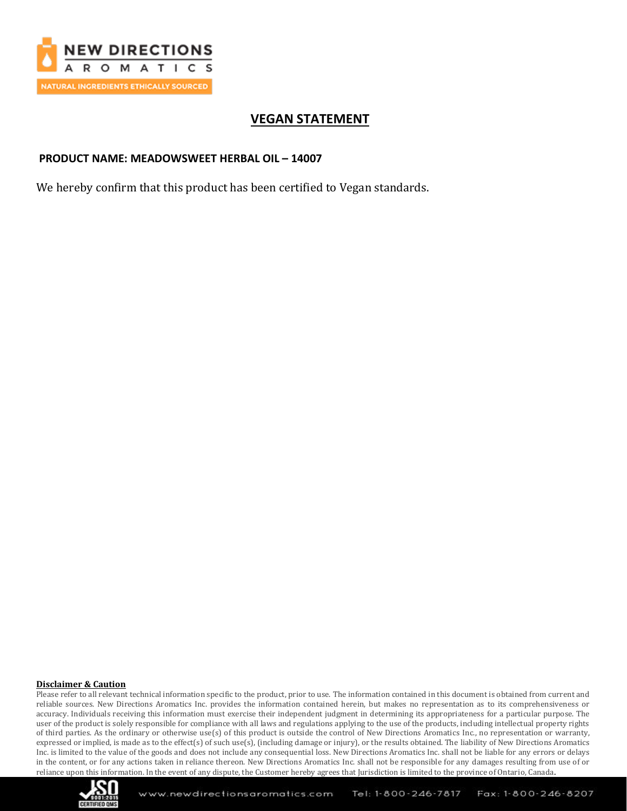

## **VEGAN STATEMENT**

## **PRODUCT NAME: MEADOWSWEET HERBAL OIL – 14007**

We hereby confirm that this product has been certified to Vegan standards.

#### **Disclaimer & Caution**

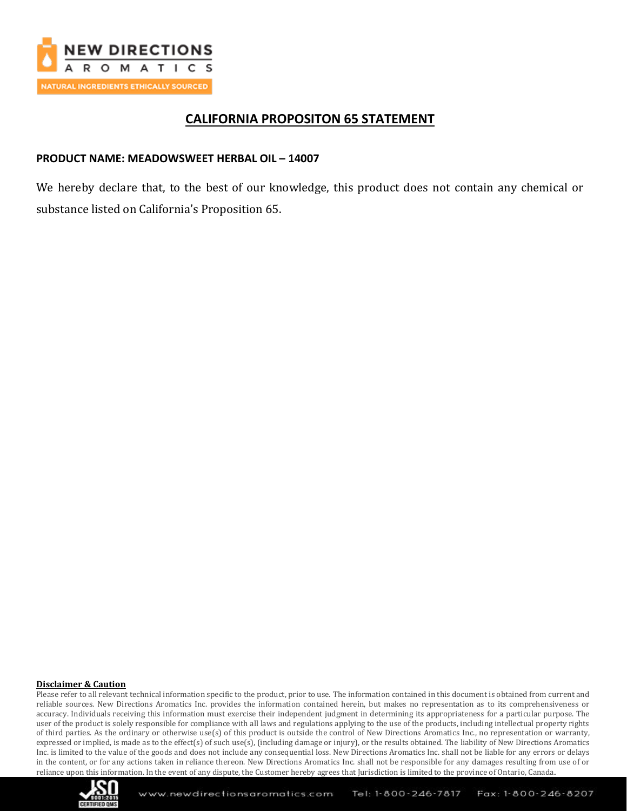

## **CALIFORNIA PROPOSITON 65 STATEMENT**

## **PRODUCT NAME: MEADOWSWEET HERBAL OIL – 14007**

We hereby declare that, to the best of our knowledge, this product does not contain any chemical or substance listed on California's Proposition 65.

#### **Disclaimer & Caution**